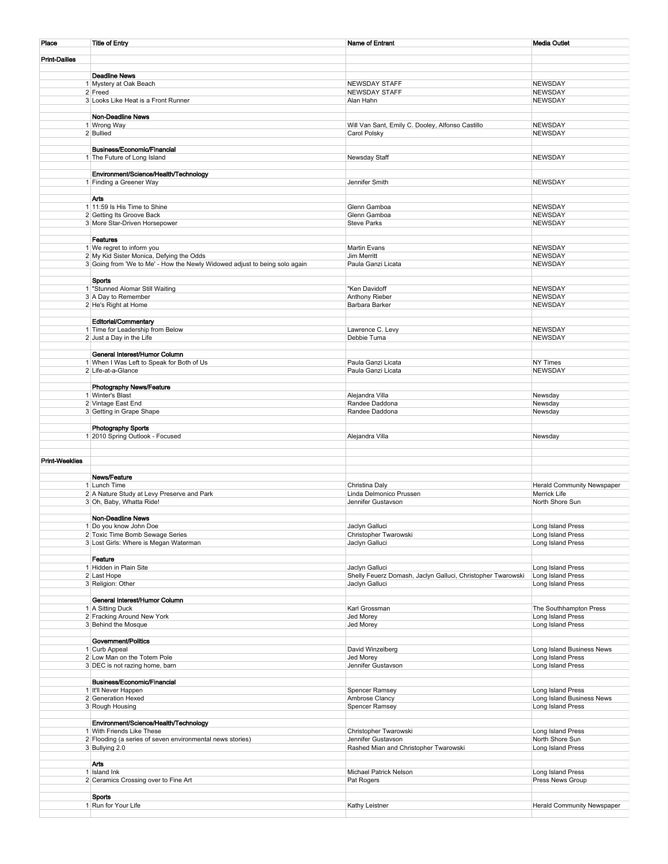| Place                 | <b>Title of Entry</b>                                                      | Name of Entrant                                             | <b>Media Outlet</b>              |
|-----------------------|----------------------------------------------------------------------------|-------------------------------------------------------------|----------------------------------|
| <b>Print-Dailies</b>  |                                                                            |                                                             |                                  |
|                       |                                                                            |                                                             |                                  |
|                       | <b>Deadline News</b>                                                       |                                                             |                                  |
|                       | 1 Mystery at Oak Beach                                                     | <b>NEWSDAY STAFF</b>                                        | <b>NEWSDAY</b>                   |
|                       | 2 Freed                                                                    | <b>NEWSDAY STAFF</b>                                        | <b>NEWSDAY</b>                   |
|                       | 3 Looks Like Heat is a Front Runner                                        | Alan Hahn                                                   | <b>NEWSDAY</b>                   |
|                       |                                                                            |                                                             |                                  |
|                       | Non-Deadline News                                                          |                                                             |                                  |
|                       | 1 Wrong Way                                                                | Will Van Sant, Emily C. Dooley, Alfonso Castillo            | <b>NEWSDAY</b>                   |
|                       | 2 Bullied                                                                  | Carol Polsky                                                | <b>NEWSDAY</b>                   |
|                       | Business/Economic/Financial                                                |                                                             |                                  |
|                       | 1 The Future of Long Island                                                | Newsday Staff                                               | <b>NEWSDAY</b>                   |
|                       |                                                                            |                                                             |                                  |
|                       | Environment/Science/Health/Technology                                      |                                                             |                                  |
|                       | 1 Finding a Greener Way                                                    | Jennifer Smith                                              | <b>NEWSDAY</b>                   |
|                       |                                                                            |                                                             |                                  |
|                       | Arts                                                                       |                                                             |                                  |
|                       | 1 11:59 Is His Time to Shine                                               | Glenn Gamboa                                                | <b>NEWSDAY</b>                   |
|                       | 2 Getting Its Groove Back                                                  | Glenn Gamboa                                                | <b>NEWSDAY</b>                   |
|                       | 3 More Star-Driven Horsepower                                              | <b>Steve Parks</b>                                          | <b>NEWSDAY</b>                   |
|                       |                                                                            |                                                             |                                  |
|                       | Features                                                                   |                                                             |                                  |
|                       | 1 We regret to inform you<br>2 My Kid Sister Monica, Defying the Odds      | <b>Martin Evans</b><br>Jim Merritt                          | <b>NEWSDAY</b><br><b>NEWSDAY</b> |
|                       | 3 Going from 'We to Me' - How the Newly Widowed adjust to being solo again | Paula Ganzi Licata                                          | <b>NEWSDAY</b>                   |
|                       |                                                                            |                                                             |                                  |
|                       | Sports                                                                     |                                                             |                                  |
|                       | 1 "Stunned Alomar Still Waiting                                            | "Ken Davidoff                                               | <b>NEWSDAY</b>                   |
|                       | 3 A Day to Remember                                                        | Anthony Rieber                                              | <b>NEWSDAY</b>                   |
|                       | 2 He's Right at Home                                                       | Barbara Barker                                              | <b>NEWSDAY</b>                   |
|                       |                                                                            |                                                             |                                  |
|                       | Editorial/Commentary                                                       |                                                             |                                  |
|                       | 1 Time for Leadership from Below                                           | Lawrence C. Levy                                            | NEWSDAY                          |
|                       | 2 Just a Day in the Life                                                   | Debbie Tuma                                                 | <b>NEWSDAY</b>                   |
|                       | General Interest/Humor Column                                              |                                                             |                                  |
|                       | 1 When I Was Left to Speak for Both of Us                                  | Paula Ganzi Licata                                          | <b>NY Times</b>                  |
|                       | 2 Life-at-a-Glance                                                         | Paula Ganzi Licata                                          | <b>NEWSDAY</b>                   |
|                       |                                                                            |                                                             |                                  |
|                       | Photography News/Feature                                                   |                                                             |                                  |
|                       | 1 Winter's Blast                                                           | Alejandra Villa                                             | Newsday                          |
|                       | 2 Vintage East End                                                         | Randee Daddona                                              | Newsday                          |
|                       | 3 Getting in Grape Shape                                                   | Randee Daddona                                              | Newsday                          |
|                       |                                                                            |                                                             |                                  |
|                       | Photography Sports<br>1 2010 Spring Outlook - Focused                      | Alejandra Villa                                             |                                  |
|                       |                                                                            |                                                             | Newsday                          |
|                       |                                                                            |                                                             |                                  |
| <b>Print-Weeklies</b> |                                                                            |                                                             |                                  |
|                       |                                                                            |                                                             |                                  |
|                       | News/Feature                                                               |                                                             |                                  |
|                       | 1 Lunch Time                                                               | Christina Daly                                              | Herald Community Newspaper       |
|                       | 2 A Nature Study at Levy Preserve and Park                                 | Linda Delmonico Prussen                                     | Merrick Life<br>North Shore Sun  |
|                       | 3 Oh, Baby, Whatta Ride!                                                   | Jennifer Gustavson                                          |                                  |
|                       | Non-Deadline News                                                          |                                                             |                                  |
|                       | 1 Do you know John Doe                                                     | Jaclyn Galluci                                              | Long Island Press                |
|                       | 2 Toxic Time Bomb Sewage Series                                            | Christopher Twarowski                                       | Long Island Press                |
|                       | 3 Lost Girls: Where is Megan Waterman                                      | Jaclyn Galluci                                              | Long Island Press                |
|                       |                                                                            |                                                             |                                  |
|                       | Feature                                                                    |                                                             |                                  |
|                       | 1 Hidden in Plain Site                                                     | Jaclyn Galluci                                              | Long Island Press                |
|                       | 2 Last Hope                                                                | Shelly Feuerz Domash, Jaclyn Galluci, Christopher Twarowski | Long Island Press                |
|                       | 3 Religion: Other                                                          | Jaclyn Galluci                                              | Long Island Press                |
|                       | General Interest/Humor Column                                              |                                                             |                                  |
|                       | 1 A Sitting Duck                                                           | Karl Grossman                                               | The Southhampton Press           |
|                       | 2 Fracking Around New York                                                 | Jed Morey                                                   | Long Island Press                |
|                       | 3 Behind the Mosque                                                        | Jed Morey                                                   | Long Island Press                |
|                       |                                                                            |                                                             |                                  |
|                       | Government/Politics                                                        |                                                             |                                  |
|                       | 1 Curb Appeal                                                              | David Winzelberg                                            | Long Island Business News        |
|                       | 2 Low Man on the Totem Pole                                                | Jed Morey                                                   | Long Island Press                |
|                       | 3 DEC is not razing home, barn                                             | Jennifer Gustavson                                          | Long Island Press                |
|                       | Business/Economic/Financial                                                |                                                             |                                  |
|                       | 1 It'll Never Happen                                                       | Spencer Ramsey                                              | Long Island Press                |
|                       | 2 Generation Hexed                                                         | Ambrose Clancy                                              | Long Island Business News        |
|                       | 3 Rough Housing                                                            | Spencer Ramsey                                              | Long Island Press                |
|                       |                                                                            |                                                             |                                  |
|                       | Environment/Science/Health/Technology                                      |                                                             |                                  |
|                       | 1 With Friends Like These                                                  | Christopher Twarowski                                       | Long Island Press                |
|                       | 2 Flooding (a series of seven environmental news stories)                  | Jennifer Gustavson                                          | North Shore Sun                  |
|                       | 3 Bullying 2.0                                                             | Rashed Mian and Christopher Twarowski                       | Long Island Press                |
|                       | Arts                                                                       |                                                             |                                  |
|                       | 1 Island Ink                                                               | Michael Patrick Nelson                                      | Long Island Press                |
|                       | 2 Ceramics Crossing over to Fine Art                                       | Pat Rogers                                                  | Press News Group                 |
|                       |                                                                            |                                                             |                                  |
|                       | Sports                                                                     |                                                             |                                  |
|                       | 1 Run for Your Life                                                        | Kathy Leistner                                              | Herald Community Newspaper       |
|                       |                                                                            |                                                             |                                  |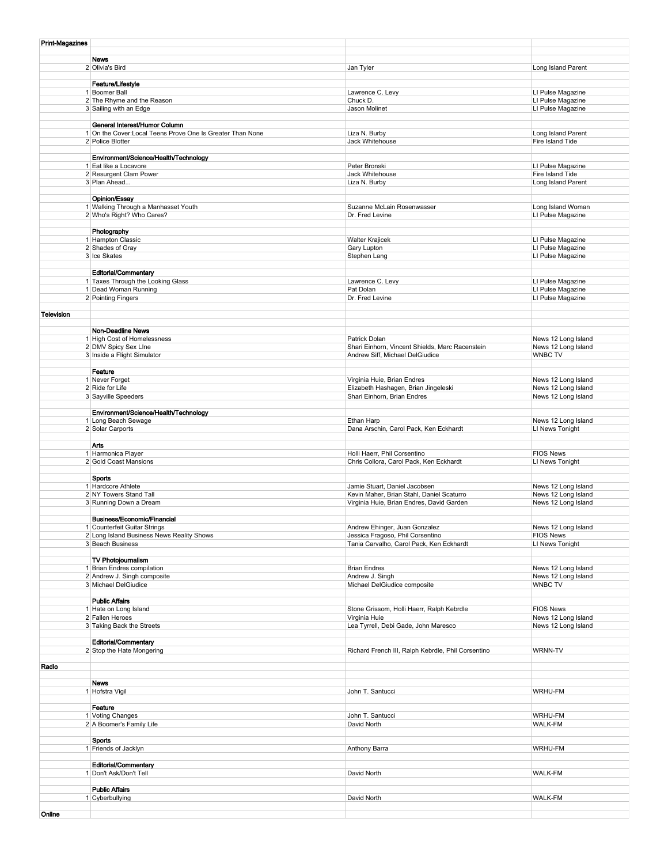| Print-Magazines |                                                            |                                                    |                     |
|-----------------|------------------------------------------------------------|----------------------------------------------------|---------------------|
|                 | News                                                       |                                                    |                     |
|                 | 2 Olivia's Bird                                            | Jan Tyler                                          |                     |
|                 |                                                            |                                                    | Long Island Parent  |
|                 | Feature/Lifestyle                                          |                                                    |                     |
|                 | 1 Boomer Ball                                              | Lawrence C. Levy                                   | LI Pulse Magazine   |
|                 | 2 The Rhyme and the Reason                                 | Chuck D.                                           | LI Pulse Magazine   |
|                 | 3 Sailing with an Edge                                     | Jason Molinet                                      | LI Pulse Magazine   |
|                 |                                                            |                                                    |                     |
|                 | General Interest/Humor Column                              |                                                    |                     |
|                 | 1 On the Cover: Local Teens Prove One Is Greater Than None | Liza N. Burby                                      | Long Island Parent  |
|                 | 2 Police Blotter                                           | Jack Whitehouse                                    | Fire Island Tide    |
|                 |                                                            |                                                    |                     |
|                 | Environment/Science/Health/Technology                      |                                                    |                     |
|                 | 1 Eat like a Locavore                                      | Peter Bronski                                      | LI Pulse Magazine   |
|                 | 2 Resurgent Clam Power                                     | Jack Whitehouse                                    | Fire Island Tide    |
|                 | 3 Plan Ahead                                               | Liza N. Burby                                      | Long Island Parent  |
|                 |                                                            |                                                    |                     |
|                 | Opinion/Essay                                              |                                                    |                     |
|                 | 1 Walking Through a Manhasset Youth                        | Suzanne McLain Rosenwasser                         | Long Island Woman   |
|                 | 2 Who's Right? Who Cares?                                  | Dr. Fred Levine                                    | LI Pulse Magazine   |
|                 |                                                            |                                                    |                     |
|                 | Photography                                                |                                                    |                     |
|                 | 1 Hampton Classic                                          | Walter Krajicek                                    | LI Pulse Magazine   |
|                 | 2 Shades of Gray                                           | Gary Lupton                                        | LI Pulse Magazine   |
|                 | 3 Ice Skates                                               | Stephen Lang                                       | LI Pulse Magazine   |
|                 |                                                            |                                                    |                     |
|                 | Editorial/Commentary                                       |                                                    |                     |
|                 | 1 Taxes Through the Looking Glass                          | Lawrence C. Levy                                   | LI Pulse Magazine   |
|                 | 1 Dead Woman Running                                       | Pat Dolan                                          | LI Pulse Magazine   |
|                 | 2 Pointing Fingers                                         | Dr. Fred Levine                                    | LI Pulse Magazine   |
|                 |                                                            |                                                    |                     |
| Television      |                                                            |                                                    |                     |
|                 |                                                            |                                                    |                     |
|                 | Non-Deadline News                                          |                                                    |                     |
|                 | 1 High Cost of Homelessness                                | Patrick Dolan                                      | News 12 Long Island |
|                 | 2 DMV Spicy Sex Line                                       | Shari Einhorn, Vincent Shields, Marc Racenstein    | News 12 Long Island |
|                 | 3 Inside a Flight Simulator                                | Andrew Siff, Michael DelGiudice                    | <b>WNBC TV</b>      |
|                 |                                                            |                                                    |                     |
|                 | Feature                                                    |                                                    |                     |
|                 | 1 Never Forget                                             | Virginia Huie, Brian Endres                        | News 12 Long Island |
|                 | 2 Ride for Life                                            | Elizabeth Hashagen, Brian Jingeleski               | News 12 Long Island |
|                 | 3 Sayville Speeders                                        | Shari Einhorn, Brian Endres                        | News 12 Long Island |
|                 |                                                            |                                                    |                     |
|                 | Environment/Science/Health/Technology                      |                                                    |                     |
|                 | 1 Long Beach Sewage                                        | Ethan Harp                                         | News 12 Long Island |
|                 | 2 Solar Carports                                           | Dana Arschin, Carol Pack, Ken Eckhardt             | LI News Tonight     |
|                 |                                                            |                                                    |                     |
|                 | Arts                                                       |                                                    |                     |
|                 | 1 Harmonica Player                                         | Holli Haerr, Phil Corsentino                       | <b>FIOS News</b>    |
|                 |                                                            |                                                    |                     |
|                 | 2 Gold Coast Mansions                                      | Chris Collora, Carol Pack, Ken Eckhardt            | LI News Tonight     |
|                 |                                                            |                                                    |                     |
|                 | Sports                                                     |                                                    |                     |
|                 | 1 Hardcore Athlete                                         | Jamie Stuart, Daniel Jacobsen                      | News 12 Long Island |
|                 | 2 NY Towers Stand Tall                                     | Kevin Maher, Brian Stahl, Daniel Scaturro          | News 12 Long Island |
|                 | 3 Running Down a Dream                                     | Virginia Huie, Brian Endres, David Garden          | News 12 Long Island |
|                 |                                                            |                                                    |                     |
|                 | Business/Economic/Financial                                |                                                    |                     |
|                 | 1 Counterfeit Guitar Strings                               | Andrew Ehinger, Juan Gonzalez                      | News 12 Long Island |
|                 | 2 Long Island Business News Reality Shows                  | Jessica Fragoso, Phil Corsentino                   | <b>FIOS News</b>    |
|                 | 3 Beach Business                                           | Tania Carvalho, Carol Pack, Ken Eckhardt           | LI News Tonight     |
|                 |                                                            |                                                    |                     |
|                 | TV Photojournalism                                         |                                                    |                     |
|                 | 1 Brian Endres compilation                                 | <b>Brian Endres</b>                                | News 12 Long Island |
|                 | 2 Andrew J. Singh composite                                | Andrew J. Singh                                    | News 12 Long Island |
|                 | 3 Michael DelGiudice                                       | Michael DelGiudice composite                       | <b>WNBC TV</b>      |
|                 |                                                            |                                                    |                     |
|                 | <b>Public Affairs</b>                                      |                                                    |                     |
|                 | 1 Hate on Long Island                                      | Stone Grissom, Holli Haerr, Ralph Kebrdle          | <b>FIOS News</b>    |
|                 | 2 Fallen Heroes                                            | Virginia Huie                                      | News 12 Long Island |
|                 | 3 Taking Back the Streets                                  | Lea Tyrrell, Debi Gade, John Maresco               | News 12 Long Island |
|                 |                                                            |                                                    |                     |
|                 | Editorial/Commentary                                       |                                                    |                     |
|                 | 2 Stop the Hate Mongering                                  | Richard French III, Ralph Kebrdle, Phil Corsentino | WRNN-TV             |
|                 |                                                            |                                                    |                     |
| Radio           |                                                            |                                                    |                     |
|                 |                                                            |                                                    |                     |
|                 | News                                                       |                                                    |                     |
|                 | 1 Hofstra Vigil                                            | John T. Santucci                                   | WRHU-FM             |
|                 |                                                            |                                                    |                     |
|                 | Feature                                                    |                                                    |                     |
|                 | 1 Voting Changes                                           | John T. Santucci                                   | WRHU-FM             |
|                 | 2 A Boomer's Family Life                                   | David North                                        | WALK-FM             |
|                 |                                                            |                                                    |                     |
|                 | Sports                                                     |                                                    |                     |
|                 | 1 Friends of Jacklyn                                       | Anthony Barra                                      | WRHU-FM             |
|                 |                                                            |                                                    |                     |
|                 | <b>Editorial/Commentary</b>                                |                                                    |                     |
|                 | 1 Don't Ask/Don't Tell                                     | David North                                        | WALK-FM             |
|                 |                                                            |                                                    |                     |
|                 | <b>Public Affairs</b>                                      |                                                    |                     |
|                 | 1 Cyberbullying                                            | David North                                        | WALK-FM             |
|                 |                                                            |                                                    |                     |
| Online          |                                                            |                                                    |                     |